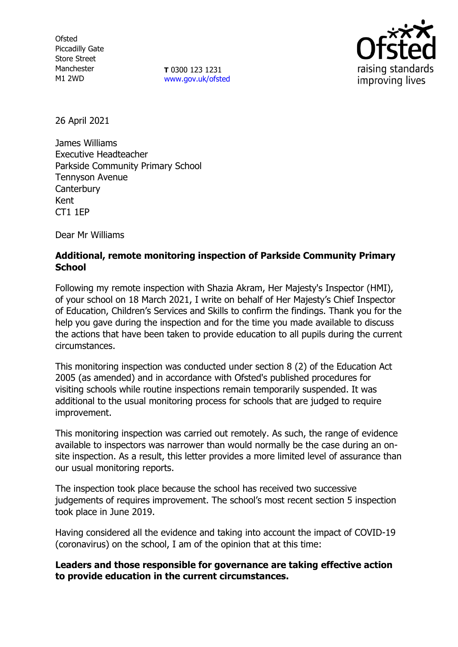**Ofsted** Piccadilly Gate Store Street Manchester M1 2WD

**T** 0300 123 1231 [www.gov.uk/ofsted](http://www.gov.uk/ofsted)



26 April 2021

James Williams Executive Headteacher Parkside Community Primary School Tennyson Avenue **Canterbury** Kent CT1 1EP

Dear Mr Williams

## **Additional, remote monitoring inspection of Parkside Community Primary School**

Following my remote inspection with Shazia Akram, Her Majesty's Inspector (HMI), of your school on 18 March 2021, I write on behalf of Her Majesty's Chief Inspector of Education, Children's Services and Skills to confirm the findings. Thank you for the help you gave during the inspection and for the time you made available to discuss the actions that have been taken to provide education to all pupils during the current circumstances.

This monitoring inspection was conducted under section 8 (2) of the Education Act 2005 (as amended) and in accordance with Ofsted's published procedures for visiting schools while routine inspections remain temporarily suspended. It was additional to the usual monitoring process for schools that are judged to require improvement.

This monitoring inspection was carried out remotely. As such, the range of evidence available to inspectors was narrower than would normally be the case during an onsite inspection. As a result, this letter provides a more limited level of assurance than our usual monitoring reports.

The inspection took place because the school has received two successive judgements of requires improvement. The school's most recent section 5 inspection took place in June 2019.

Having considered all the evidence and taking into account the impact of COVID-19 (coronavirus) on the school, I am of the opinion that at this time:

#### **Leaders and those responsible for governance are taking effective action to provide education in the current circumstances.**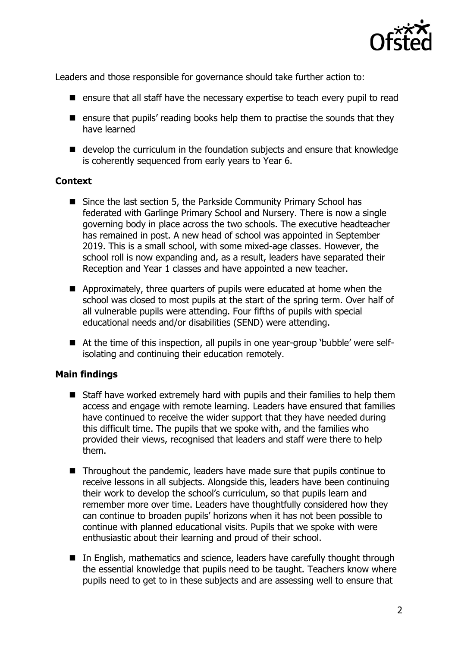

Leaders and those responsible for governance should take further action to:

- $\blacksquare$  ensure that all staff have the necessary expertise to teach every pupil to read
- **E** ensure that pupils' reading books help them to practise the sounds that they have learned
- develop the curriculum in the foundation subjects and ensure that knowledge is coherently sequenced from early years to Year 6.

## **Context**

- Since the last section 5, the Parkside Community Primary School has federated with Garlinge Primary School and Nursery. There is now a single governing body in place across the two schools. The executive headteacher has remained in post. A new head of school was appointed in September 2019. This is a small school, with some mixed-age classes. However, the school roll is now expanding and, as a result, leaders have separated their Reception and Year 1 classes and have appointed a new teacher.
- **E** Approximately, three quarters of pupils were educated at home when the school was closed to most pupils at the start of the spring term. Over half of all vulnerable pupils were attending. Four fifths of pupils with special educational needs and/or disabilities (SEND) were attending.
- At the time of this inspection, all pupils in one year-group 'bubble' were selfisolating and continuing their education remotely.

# **Main findings**

- Staff have worked extremely hard with pupils and their families to help them access and engage with remote learning. Leaders have ensured that families have continued to receive the wider support that they have needed during this difficult time. The pupils that we spoke with, and the families who provided their views, recognised that leaders and staff were there to help them.
- Throughout the pandemic, leaders have made sure that pupils continue to receive lessons in all subjects. Alongside this, leaders have been continuing their work to develop the school's curriculum, so that pupils learn and remember more over time. Leaders have thoughtfully considered how they can continue to broaden pupils' horizons when it has not been possible to continue with planned educational visits. Pupils that we spoke with were enthusiastic about their learning and proud of their school.
- In English, mathematics and science, leaders have carefully thought through the essential knowledge that pupils need to be taught. Teachers know where pupils need to get to in these subjects and are assessing well to ensure that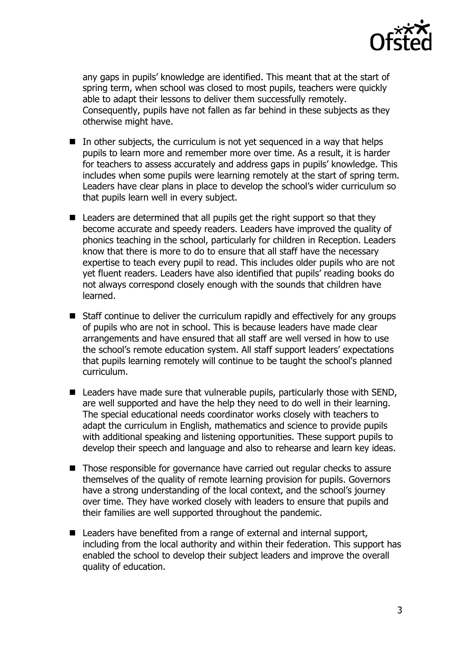

any gaps in pupils' knowledge are identified. This meant that at the start of spring term, when school was closed to most pupils, teachers were quickly able to adapt their lessons to deliver them successfully remotely. Consequently, pupils have not fallen as far behind in these subjects as they otherwise might have.

- In other subjects, the curriculum is not yet sequenced in a way that helps pupils to learn more and remember more over time. As a result, it is harder for teachers to assess accurately and address gaps in pupils' knowledge. This includes when some pupils were learning remotely at the start of spring term. Leaders have clear plans in place to develop the school's wider curriculum so that pupils learn well in every subject.
- Leaders are determined that all pupils get the right support so that they become accurate and speedy readers. Leaders have improved the quality of phonics teaching in the school, particularly for children in Reception. Leaders know that there is more to do to ensure that all staff have the necessary expertise to teach every pupil to read. This includes older pupils who are not yet fluent readers. Leaders have also identified that pupils' reading books do not always correspond closely enough with the sounds that children have learned.
- Staff continue to deliver the curriculum rapidly and effectively for any groups of pupils who are not in school. This is because leaders have made clear arrangements and have ensured that all staff are well versed in how to use the school's remote education system. All staff support leaders' expectations that pupils learning remotely will continue to be taught the school's planned curriculum.
- Leaders have made sure that vulnerable pupils, particularly those with SEND, are well supported and have the help they need to do well in their learning. The special educational needs coordinator works closely with teachers to adapt the curriculum in English, mathematics and science to provide pupils with additional speaking and listening opportunities. These support pupils to develop their speech and language and also to rehearse and learn key ideas.
- Those responsible for governance have carried out regular checks to assure themselves of the quality of remote learning provision for pupils. Governors have a strong understanding of the local context, and the school's journey over time. They have worked closely with leaders to ensure that pupils and their families are well supported throughout the pandemic.
- Leaders have benefited from a range of external and internal support, including from the local authority and within their federation. This support has enabled the school to develop their subject leaders and improve the overall quality of education.